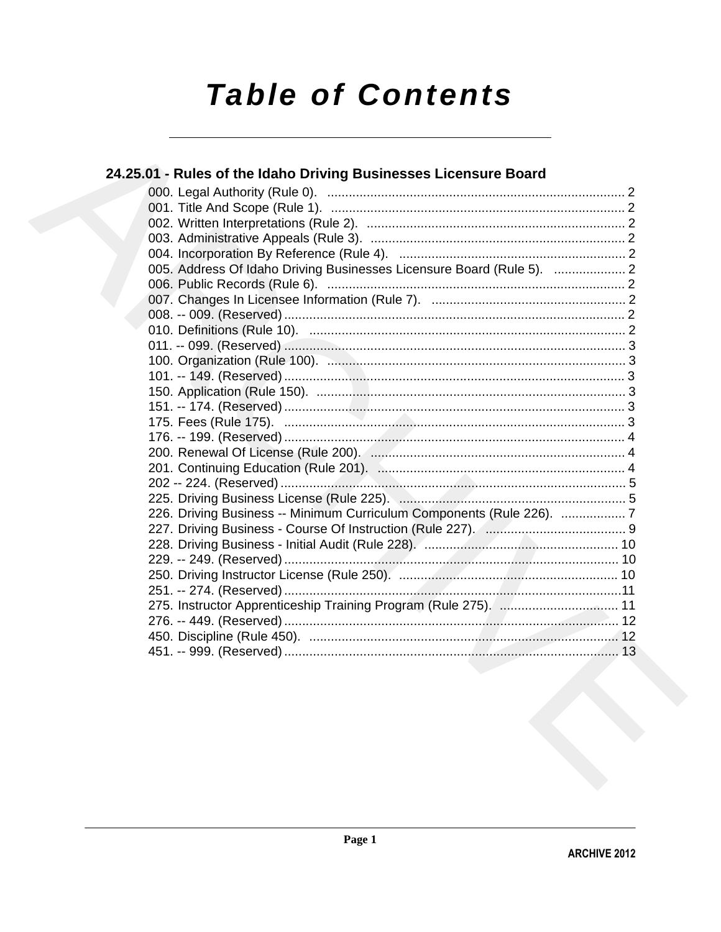# **Table of Contents**

| 24.25.01 - Rules of the Idaho Driving Businesses Licensure Board      |  |
|-----------------------------------------------------------------------|--|
|                                                                       |  |
|                                                                       |  |
|                                                                       |  |
|                                                                       |  |
|                                                                       |  |
| 005. Address Of Idaho Driving Businesses Licensure Board (Rule 5).  2 |  |
|                                                                       |  |
|                                                                       |  |
|                                                                       |  |
|                                                                       |  |
|                                                                       |  |
|                                                                       |  |
|                                                                       |  |
|                                                                       |  |
|                                                                       |  |
|                                                                       |  |
|                                                                       |  |
|                                                                       |  |
|                                                                       |  |
|                                                                       |  |
|                                                                       |  |
| 226. Driving Business -- Minimum Curriculum Components (Rule 226). 7  |  |
|                                                                       |  |
|                                                                       |  |
|                                                                       |  |
|                                                                       |  |
|                                                                       |  |
|                                                                       |  |
|                                                                       |  |
|                                                                       |  |
|                                                                       |  |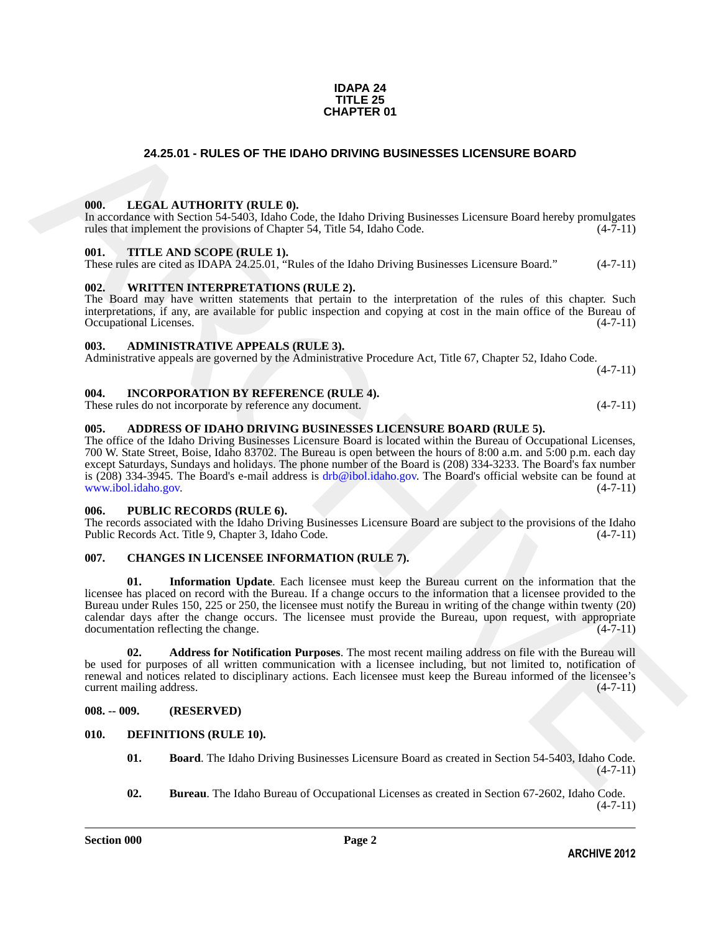### **IDAPA 24 TITLE 25 CHAPTER 01**

# **24.25.01 - RULES OF THE IDAHO DRIVING BUSINESSES LICENSURE BOARD**

### <span id="page-1-1"></span><span id="page-1-0"></span>**000. LEGAL AUTHORITY (RULE 0).**

In accordance with Section 54-5403, Idaho Code, the Idaho Driving Businesses Licensure Board hereby promulgates rules that implement the provisions of Chapter 54, Title 54, Idaho Code. (4-7-11)

### <span id="page-1-2"></span>**001. TITLE AND SCOPE (RULE 1).**

These rules are cited as IDAPA 24.25.01, "Rules of the Idaho Driving Businesses Licensure Board." (4-7-11)

### <span id="page-1-3"></span>**002. WRITTEN INTERPRETATIONS (RULE 2).**

The Board may have written statements that pertain to the interpretation of the rules of this chapter. Such interpretations, if any, are available for public inspection and copying at cost in the main office of the Bureau of Occupational Licenses. (4-7-11) Occupational Licenses.

### <span id="page-1-4"></span>**003. ADMINISTRATIVE APPEALS (RULE 3).**

Administrative appeals are governed by the Administrative Procedure Act, Title 67, Chapter 52, Idaho Code.  $(4 - 7 - 11)$ 

### <span id="page-1-5"></span>**004. INCORPORATION BY REFERENCE (RULE 4).**

These rules do not incorporate by reference any document. (4-7-11)

### <span id="page-1-6"></span>**005. ADDRESS OF IDAHO DRIVING BUSINESSES LICENSURE BOARD (RULE 5).**

The office of the Idaho Driving Businesses Licensure Board is located within the Bureau of Occupational Licenses, 700 W. State Street, Boise, Idaho 83702. The Bureau is open between the hours of 8:00 a.m. and 5:00 p.m. each day except Saturdays, Sundays and holidays. The phone number of the Board is (208) 334-3233. The Board's fax number is (208) 334-3945. The Board's e-mail address is drb@ibol.idaho.gov. The Board's official website can be found at www.ibol.idaho.gov. (4-7-11)

### <span id="page-1-7"></span>**006. PUBLIC RECORDS (RULE 6).**

The records associated with the Idaho Driving Businesses Licensure Board are subject to the provisions of the Idaho Public Records Act. Title 9, Chapter 3, Idaho Code. (4-7-11) Public Records Act. Title 9, Chapter 3, Idaho Code.

# <span id="page-1-13"></span><span id="page-1-11"></span><span id="page-1-8"></span>**007. CHANGES IN LICENSEE INFORMATION (RULE 7).**

**24.25.01 - RULES OF THE IDANO DRIVING BUSINESSES LICENSURE BOARD<br>
100.** LEGAL AITHYORTY (BLT.F.0), the finding Driving Businesses Licensure Road better and the second in the second of the second of the second of the seco **01. Information Update**. Each licensee must keep the Bureau current on the information that the licensee has placed on record with the Bureau. If a change occurs to the information that a licensee provided to the Bureau under Rules 150, 225 or 250, the licensee must notify the Bureau in writing of the change within twenty (20) calendar days after the change occurs. The licensee must provide the Bureau, upon request, with appropriate documentation reflecting the change. (4-7-11)

<span id="page-1-12"></span>**02. Address for Notification Purposes**. The most recent mailing address on file with the Bureau will be used for purposes of all written communication with a licensee including, but not limited to, notification of renewal and notices related to disciplinary actions. Each licensee must keep the Bureau informed of the licensee's current mailing address. (4-7-11)

### <span id="page-1-9"></span>**008. -- 009. (RESERVED)**

### <span id="page-1-10"></span>**010. DEFINITIONS (RULE 10).**

- <span id="page-1-15"></span><span id="page-1-14"></span>**01. Board**. The Idaho Driving Businesses Licensure Board as created in Section 54-5403, Idaho Code.  $(4 - 7 - 11)$
- <span id="page-1-16"></span>**02. Bureau**. The Idaho Bureau of Occupational Licenses as created in Section 67-2602, Idaho Code.  $(4 - 7 - 11)$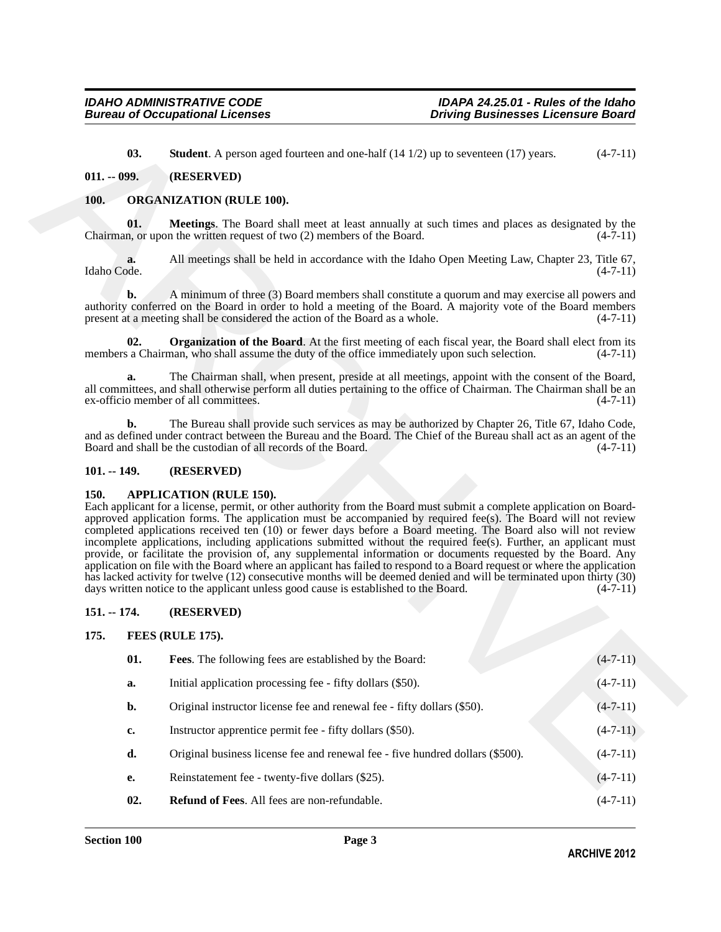# <span id="page-2-13"></span><span id="page-2-12"></span><span id="page-2-11"></span><span id="page-2-7"></span><span id="page-2-1"></span><span id="page-2-0"></span>**100. ORGANIZATION (RULE 100).**

# <span id="page-2-2"></span>**101. -- 149. (RESERVED)**

# <span id="page-2-6"></span><span id="page-2-3"></span>**150. APPLICATION (RULE 150).**

# <span id="page-2-4"></span>**151. -- 174. (RESERVED)**

# <span id="page-2-10"></span><span id="page-2-9"></span><span id="page-2-8"></span><span id="page-2-5"></span>**175. FEES (RULE 175).**

|             | 03.               | <b>Student</b> . A person aged fourteen and one-half $(14 1/2)$ up to seventeen $(17)$ years.                                                                                                                                                                                                                                                                                                                                                                                                                                                                                                                                                                                                                                                                                                                                                                                                                                                                             | $(4-7-11)$ |
|-------------|-------------------|---------------------------------------------------------------------------------------------------------------------------------------------------------------------------------------------------------------------------------------------------------------------------------------------------------------------------------------------------------------------------------------------------------------------------------------------------------------------------------------------------------------------------------------------------------------------------------------------------------------------------------------------------------------------------------------------------------------------------------------------------------------------------------------------------------------------------------------------------------------------------------------------------------------------------------------------------------------------------|------------|
|             | $011. - 099.$     | (RESERVED)                                                                                                                                                                                                                                                                                                                                                                                                                                                                                                                                                                                                                                                                                                                                                                                                                                                                                                                                                                |            |
| <b>100.</b> |                   | <b>ORGANIZATION (RULE 100).</b>                                                                                                                                                                                                                                                                                                                                                                                                                                                                                                                                                                                                                                                                                                                                                                                                                                                                                                                                           |            |
|             | 01.               | <b>Meetings.</b> The Board shall meet at least annually at such times and places as designated by the<br>Chairman, or upon the written request of two (2) members of the Board.                                                                                                                                                                                                                                                                                                                                                                                                                                                                                                                                                                                                                                                                                                                                                                                           | $(4-7-11)$ |
|             | a.<br>Idaho Code. | All meetings shall be held in accordance with the Idaho Open Meeting Law, Chapter 23, Title 67,                                                                                                                                                                                                                                                                                                                                                                                                                                                                                                                                                                                                                                                                                                                                                                                                                                                                           | $(4-7-11)$ |
|             | b.                | A minimum of three (3) Board members shall constitute a quorum and may exercise all powers and<br>authority conferred on the Board in order to hold a meeting of the Board. A majority vote of the Board members<br>present at a meeting shall be considered the action of the Board as a whole.                                                                                                                                                                                                                                                                                                                                                                                                                                                                                                                                                                                                                                                                          | $(4-7-11)$ |
|             | 02.               | <b>Organization of the Board.</b> At the first meeting of each fiscal year, the Board shall elect from its<br>members a Chairman, who shall assume the duty of the office immediately upon such selection.                                                                                                                                                                                                                                                                                                                                                                                                                                                                                                                                                                                                                                                                                                                                                                | $(4-7-11)$ |
|             | a.                | The Chairman shall, when present, preside at all meetings, appoint with the consent of the Board,<br>all committees, and shall otherwise perform all duties pertaining to the office of Chairman. The Chairman shall be an<br>ex-officio member of all committees.                                                                                                                                                                                                                                                                                                                                                                                                                                                                                                                                                                                                                                                                                                        | $(4-7-11)$ |
|             | b.                | The Bureau shall provide such services as may be authorized by Chapter 26, Title 67, Idaho Code,<br>and as defined under contract between the Bureau and the Board. The Chief of the Bureau shall act as an agent of the<br>Board and shall be the custodian of all records of the Board.                                                                                                                                                                                                                                                                                                                                                                                                                                                                                                                                                                                                                                                                                 | $(4-7-11)$ |
|             | $101. - 149.$     | (RESERVED)                                                                                                                                                                                                                                                                                                                                                                                                                                                                                                                                                                                                                                                                                                                                                                                                                                                                                                                                                                |            |
| <b>150.</b> |                   | <b>APPLICATION (RULE 150).</b><br>Each applicant for a license, permit, or other authority from the Board must submit a complete application on Board-<br>approved application forms. The application must be accompanied by required fee(s). The Board will not review<br>completed applications received ten (10) or fewer days before a Board meeting. The Board also will not review<br>incomplete applications, including applications submitted without the required fee(s). Further, an applicant must<br>provide, or facilitate the provision of, any supplemental information or documents requested by the Board. Any<br>application on file with the Board where an applicant has failed to respond to a Board request or where the application<br>has lacked activity for twelve (12) consecutive months will be deemed denied and will be terminated upon thirty (30)<br>days written notice to the applicant unless good cause is established to the Board. | $(4-7-11)$ |
|             | $151. - 174.$     | (RESERVED)                                                                                                                                                                                                                                                                                                                                                                                                                                                                                                                                                                                                                                                                                                                                                                                                                                                                                                                                                                |            |
| 175.        |                   | FEES (RULE 175).                                                                                                                                                                                                                                                                                                                                                                                                                                                                                                                                                                                                                                                                                                                                                                                                                                                                                                                                                          |            |
|             | 01.               | Fees. The following fees are established by the Board:                                                                                                                                                                                                                                                                                                                                                                                                                                                                                                                                                                                                                                                                                                                                                                                                                                                                                                                    | $(4-7-11)$ |
|             | a.                | Initial application processing fee - fifty dollars (\$50).                                                                                                                                                                                                                                                                                                                                                                                                                                                                                                                                                                                                                                                                                                                                                                                                                                                                                                                | $(4-7-11)$ |
|             | b.                | Original instructor license fee and renewal fee - fifty dollars (\$50).                                                                                                                                                                                                                                                                                                                                                                                                                                                                                                                                                                                                                                                                                                                                                                                                                                                                                                   | $(4-7-11)$ |
|             | $c_{\bullet}$     | Instructor apprentice permit fee - fifty dollars (\$50).                                                                                                                                                                                                                                                                                                                                                                                                                                                                                                                                                                                                                                                                                                                                                                                                                                                                                                                  | $(4-7-11)$ |
|             | d.                | Original business license fee and renewal fee - five hundred dollars (\$500).                                                                                                                                                                                                                                                                                                                                                                                                                                                                                                                                                                                                                                                                                                                                                                                                                                                                                             | $(4-7-11)$ |
|             | e.                | Reinstatement fee - twenty-five dollars (\$25).                                                                                                                                                                                                                                                                                                                                                                                                                                                                                                                                                                                                                                                                                                                                                                                                                                                                                                                           | $(4-7-11)$ |
|             | 02.               | Refund of Fees. All fees are non-refundable.                                                                                                                                                                                                                                                                                                                                                                                                                                                                                                                                                                                                                                                                                                                                                                                                                                                                                                                              | $(4-7-11)$ |
|             |                   |                                                                                                                                                                                                                                                                                                                                                                                                                                                                                                                                                                                                                                                                                                                                                                                                                                                                                                                                                                           |            |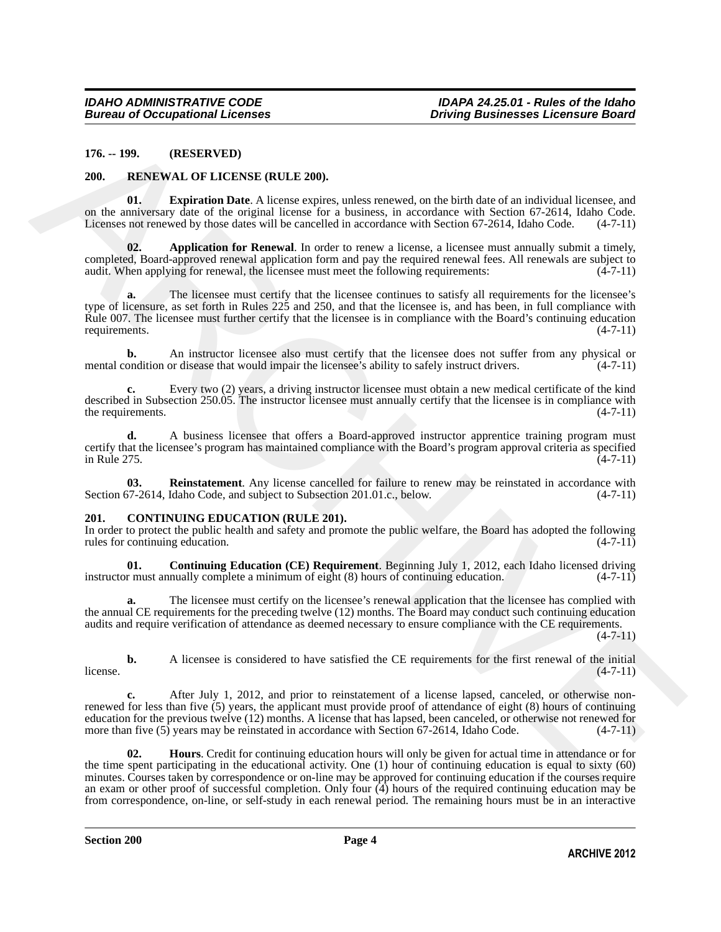### <span id="page-3-0"></span>**176. -- 199. (RESERVED)**

### <span id="page-3-6"></span><span id="page-3-1"></span>**200. RENEWAL OF LICENSE (RULE 200).**

<span id="page-3-8"></span>**01. Expiration Date**. A license expires, unless renewed, on the birth date of an individual licensee, and on the anniversary date of the original license for a business, in accordance with Section 67-2614, Idaho Code. Licenses not renewed by those dates will be cancelled in accordance with Section 67-2614, Idaho Code. (4-7-11)

<span id="page-3-7"></span>**02. Application for Renewal**. In order to renew a license, a licensee must annually submit a timely, completed, Board-approved renewal application form and pay the required renewal fees. All renewals are subject to audit. When applying for renewal, the licensee must meet the following requirements: (4-7-11) audit. When applying for renewal, the licensee must meet the following requirements:

176. - 199. (RESERVED)<br>
200. RESERVED (RELENSE (RELENSE).<br>
201. RESERVED (RELENSE (RELENSE ARCHIVER 200).<br>
201. RELENSE ARCHIVER (RELENSE ARCHIVER 2010).<br>
201. RELENSE ARCHIVER (RELENSE ARCHIVER 2010).<br>
202. Appleblanchi The licensee must certify that the licensee continues to satisfy all requirements for the licensee's type of licensure, as set forth in Rules 225 and 250, and that the licensee is, and has been, in full compliance with Rule 007. The licensee must further certify that the licensee is in compliance with the Board's continuing education requirements.  $(4-7-11)$ requirements.

**b.** An instructor licensee also must certify that the licensee does not suffer from any physical or ondition or disease that would impair the licensee's ability to safely instruct drivers.  $(4-7-11)$ mental condition or disease that would impair the licensee's ability to safely instruct drivers.

**c.** Every two (2) years, a driving instructor licensee must obtain a new medical certificate of the kind described in Subsection 250.05. The instructor licensee must annually certify that the licensee is in compliance with the requirements.  $(4-7-11)$ 

**d.** A business licensee that offers a Board-approved instructor apprentice training program must certify that the licensee's program has maintained compliance with the Board's program approval criteria as specified<br>(4-7-11) in Rule 275. (4-7-11)

<span id="page-3-9"></span>**03.** Reinstatement. Any license cancelled for failure to renew may be reinstated in accordance with 57-2614, Idaho Code, and subject to Subsection 201.01.c., below. (4-7-11) Section 67-2614, Idaho Code, and subject to Subsection 201.01.c., below.

### <span id="page-3-3"></span><span id="page-3-2"></span>**201. CONTINUING EDUCATION (RULE 201).**

In order to protect the public health and safety and promote the public welfare, the Board has adopted the following rules for continuing education. (4-7-11) rules for continuing education.

<span id="page-3-4"></span>**01. Continuing Education (CE) Requirement**. Beginning July 1, 2012, each Idaho licensed driving r must annually complete a minimum of eight (8) hours of continuing education. (4-7-11) instructor must annually complete a minimum of eight (8) hours of continuing education.

**a.** The licensee must certify on the licensee's renewal application that the licensee has complied with the annual CE requirements for the preceding twelve (12) months. The Board may conduct such continuing education audits and require verification of attendance as deemed necessary to ensure compliance with the CE requirements.  $(4 - 7 - 11)$ 

**b.** A licensee is considered to have satisfied the CE requirements for the first renewal of the initial  $(4-7-11)$  $l$  license.  $(4-7-11)$ 

**c.** After July 1, 2012, and prior to reinstatement of a license lapsed, canceled, or otherwise nonrenewed for less than five (5) years, the applicant must provide proof of attendance of eight (8) hours of continuing education for the previous twelve (12) months. A license that has lapsed, been canceled, or otherwise not renewed for more than five (5) years may be reinstated in accordance with Section 67-2614, Idaho Code. (4-7-11) more than five  $(5)$  years may be reinstated in accordance with Section 67-2614, Idaho Code.

<span id="page-3-5"></span>**02. Hours**. Credit for continuing education hours will only be given for actual time in attendance or for the time spent participating in the educational activity. One (1) hour of continuing education is equal to sixty (60) minutes. Courses taken by correspondence or on-line may be approved for continuing education if the courses require an exam or other proof of successful completion. Only four (4) hours of the required continuing education may be from correspondence, on-line, or self-study in each renewal period. The remaining hours must be in an interactive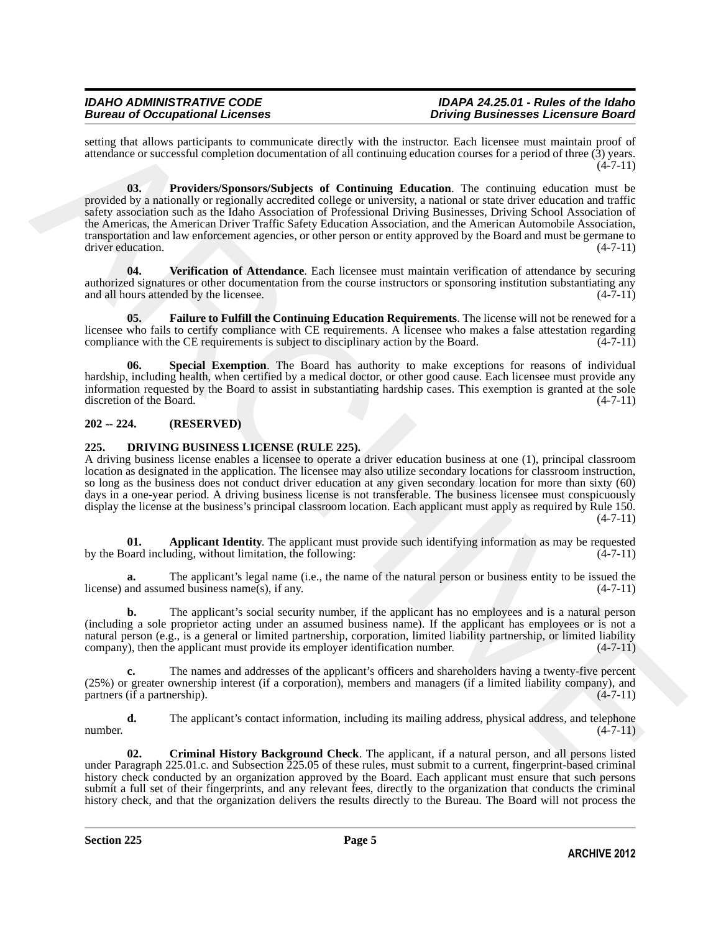<span id="page-4-3"></span>setting that allows participants to communicate directly with the instructor. Each licensee must maintain proof of attendance or successful completion documentation of all continuing education courses for a period of three (3) years.  $(4 - 7 - 11)$ 

ording the afternal electron to commutican distinctive with the isomatomy Face bit becomes materialized and the electron ordinary and the electron of the electron ordinary and the electron ordinary in the system of the el **03. Providers/Sponsors/Subjects of Continuing Education**. The continuing education must be provided by a nationally or regionally accredited college or university, a national or state driver education and traffic safety association such as the Idaho Association of Professional Driving Businesses, Driving School Association of the Americas, the American Driver Traffic Safety Education Association, and the American Automobile Association, transportation and law enforcement agencies, or other person or entity approved by the Board and must be germane to driver education. (4-7-11)

<span id="page-4-5"></span>**04. Verification of Attendance**. Each licensee must maintain verification of attendance by securing authorized signatures or other documentation from the course instructors or sponsoring institution substantiating any and all hours attended by the licensee. (4-7-11) and all hours attended by the licensee.

<span id="page-4-2"></span>**05. Failure to Fulfill the Continuing Education Requirements**. The license will not be renewed for a licensee who fails to certify compliance with CE requirements. A licensee who makes a false attestation regarding compliance with the CE requirements is subject to disciplinary action by the Board. (4-7-11) compliance with the CE requirements is subject to disciplinary action by the Board.

<span id="page-4-4"></span>**Special Exemption**. The Board has authority to make exceptions for reasons of individual hardship, including health, when certified by a medical doctor, or other good cause. Each licensee must provide any information requested by the Board to assist in substantiating hardship cases. This exemption is granted at the sole discretion of the Board.

# <span id="page-4-0"></span>**202 -- 224. (RESERVED)**

# <span id="page-4-6"></span><span id="page-4-1"></span>**225. DRIVING BUSINESS LICENSE (RULE 225).**

A driving business license enables a licensee to operate a driver education business at one (1), principal classroom location as designated in the application. The licensee may also utilize secondary locations for classroom instruction, so long as the business does not conduct driver education at any given secondary location for more than sixty (60) days in a one-year period. A driving business license is not transferable. The business licensee must conspicuously display the license at the business's principal classroom location. Each applicant must apply as required by Rule 150.  $(4 - 7 - 11)$ 

<span id="page-4-7"></span>**01. Applicant Identity**. The applicant must provide such identifying information as may be requested pard including, without limitation, the following: (4-7-11) by the Board including, without limitation, the following:

**a.** The applicant's legal name (i.e., the name of the natural person or business entity to be issued the license) and assumed business name(s), if any. (4-7-11)

**b.** The applicant's social security number, if the applicant has no employees and is a natural person (including a sole proprietor acting under an assumed business name). If the applicant has employees or is not a natural person (e.g., is a general or limited partnership, corporation, limited liability partnership, or limited liability company), then the applicant must provide its employer identification number. (4-7-11)

**c.** The names and addresses of the applicant's officers and shareholders having a twenty-five percent (25%) or greater ownership interest (if a corporation), members and managers (if a limited liability company), and partners (if a partnership).  $(4-7-11)$ 

**d.** The applicant's contact information, including its mailing address, physical address, and telephone (4-7-11) number.  $(4-7-11)$ 

<span id="page-4-8"></span>**02. Criminal History Background Check**. The applicant, if a natural person, and all persons listed under Paragraph 225.01.c. and Subsection 225.05 of these rules, must submit to a current, fingerprint-based criminal history check conducted by an organization approved by the Board. Each applicant must ensure that such persons submit a full set of their fingerprints, and any relevant fees, directly to the organization that conducts the criminal history check, and that the organization delivers the results directly to the Bureau. The Board will not process the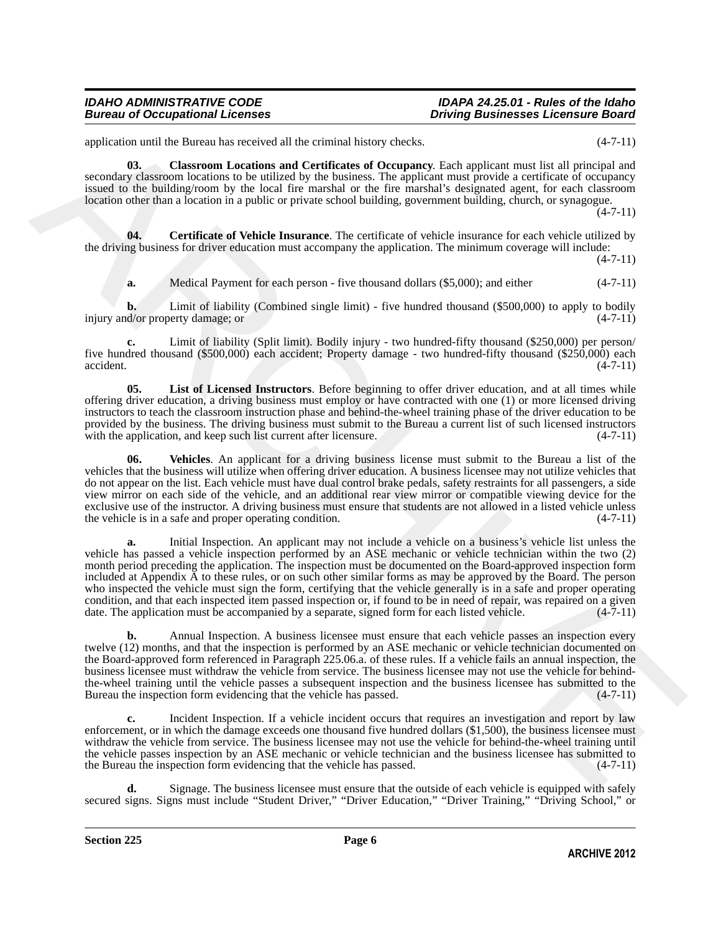application until the Bureau has received all the criminal history checks. (4-7-11)

<span id="page-5-1"></span>**03. Classroom Locations and Certificates of Occupancy**. Each applicant must list all principal and secondary classroom locations to be utilized by the business. The applicant must provide a certificate of occupancy issued to the building/room by the local fire marshal or the fire marshal's designated agent, for each classroom location other than a location in a public or private school building, government building, church, or synagogue.

 $(4 - 7 - 11)$ 

**04. Certificate of Vehicle Insurance**. The certificate of vehicle insurance for each vehicle utilized by the driving business for driver education must accompany the application. The minimum coverage will include:

 $(4 - 7 - 11)$ 

<span id="page-5-0"></span>**a.** Medical Payment for each person - five thousand dollars (\$5,000); and either (4-7-11)

**b.** Limit of liability (Combined single limit) - five hundred thousand (\$500,000) to apply to bodily d/or property damage; or (4-7-11) injury and/or property damage; or

**c.** Limit of liability (Split limit). Bodily injury - two hundred-fifty thousand (\$250,000) per person/ five hundred thousand (\$500,000) each accident; Property damage - two hundred-fifty thousand (\$250,000) each accident. (4-7-11)

<span id="page-5-2"></span>**05. List of Licensed Instructors**. Before beginning to offer driver education, and at all times while offering driver education, a driving business must employ or have contracted with one (1) or more licensed driving instructors to teach the classroom instruction phase and behind-the-wheel training phase of the driver education to be provided by the business. The driving business must submit to the Bureau a current list of such licensed instructors with the application, and keep such list current after licensure. (4-7-11) with the application, and keep such list current after licensure.

<span id="page-5-3"></span>**06. Vehicles**. An applicant for a driving business license must submit to the Bureau a list of the vehicles that the business will utilize when offering driver education. A business licensee may not utilize vehicles that do not appear on the list. Each vehicle must have dual control brake pedals, safety restraints for all passengers, a side view mirror on each side of the vehicle, and an additional rear view mirror or compatible viewing device for the exclusive use of the instructor. A driving business must ensure that students are not allowed in a listed vehicle unless the vehicle is in a safe and proper operating condition. (4-7-11)

application until the Phone has received all the principal based with the properties. (4.7.11)<br>secondary constrained the properties and Combined and Combined and Department First properties are constrained to the entropy **a.** Initial Inspection. An applicant may not include a vehicle on a business's vehicle list unless the vehicle has passed a vehicle inspection performed by an ASE mechanic or vehicle technician within the two (2) month period preceding the application. The inspection must be documented on the Board-approved inspection form included at Appendix A to these rules, or on such other similar forms as may be approved by the Board. The person who inspected the vehicle must sign the form, certifying that the vehicle generally is in a safe and proper operating condition, and that each inspected item passed inspection or, if found to be in need of repair, was repaired on a given<br>date. The application must be accompanied by a separate, signed form for each listed vehicle. (4-7-11) date. The application must be accompanied by a separate, signed form for each listed vehicle.

**b.** Annual Inspection. A business licensee must ensure that each vehicle passes an inspection every twelve (12) months, and that the inspection is performed by an ASE mechanic or vehicle technician documented on the Board-approved form referenced in Paragraph 225.06.a. of these rules. If a vehicle fails an annual inspection, the business licensee must withdraw the vehicle from service. The business licensee may not use the vehicle for behindthe-wheel training until the vehicle passes a subsequent inspection and the business licensee has submitted to the Bureau the inspection form evidencing that the vehicle has passed. (4-7-11)

**c.** Incident Inspection. If a vehicle incident occurs that requires an investigation and report by law enforcement, or in which the damage exceeds one thousand five hundred dollars (\$1,500), the business licensee must withdraw the vehicle from service. The business licensee may not use the vehicle for behind-the-wheel training until the vehicle passes inspection by an ASE mechanic or vehicle technician and the business licensee has submitted to the Bureau the inspection form evidencing that the vehicle has passed.  $(4-7-11)$ 

**d.** Signage. The business licensee must ensure that the outside of each vehicle is equipped with safely secured signs. Signs must include "Student Driver," "Driver Education," "Driver Training," "Driving School," or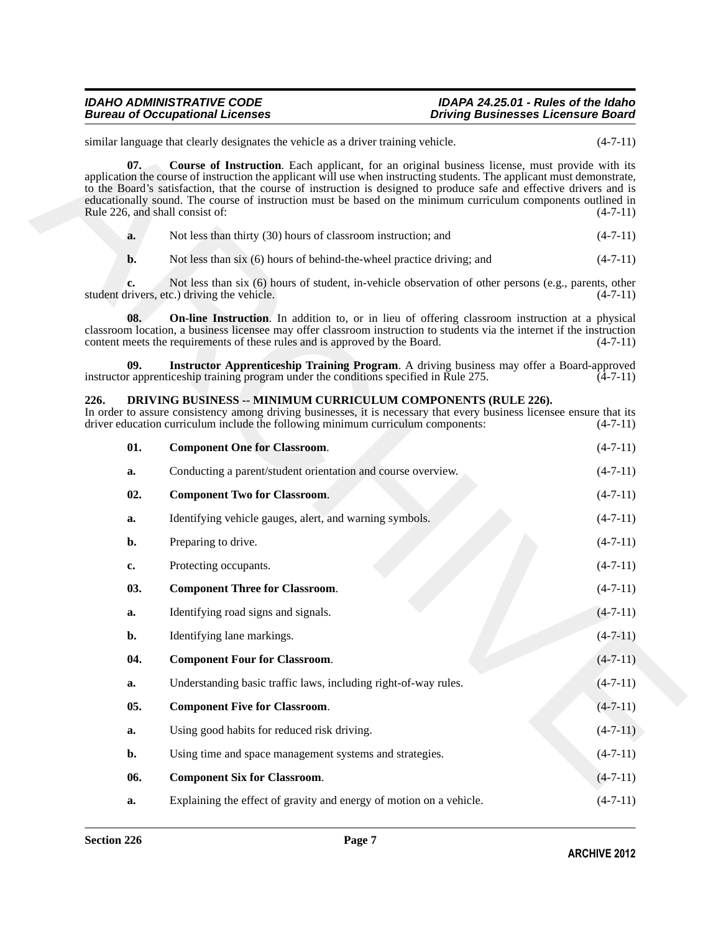# <span id="page-6-10"></span><span id="page-6-9"></span><span id="page-6-7"></span><span id="page-6-6"></span><span id="page-6-5"></span><span id="page-6-4"></span><span id="page-6-3"></span><span id="page-6-2"></span><span id="page-6-1"></span><span id="page-6-0"></span>**226. DRIVING BUSINESS -- MINIMUM CURRICULUM COMPONENTS (RULE 226).**

<span id="page-6-8"></span>

|                                        | similar language that clearly designates the vehicle as a driver training vehicle.                                                                                                                                                                                                                                                                                                                                                                                 | $(4-7-11)$ |
|----------------------------------------|--------------------------------------------------------------------------------------------------------------------------------------------------------------------------------------------------------------------------------------------------------------------------------------------------------------------------------------------------------------------------------------------------------------------------------------------------------------------|------------|
| 07.<br>Rule 226, and shall consist of: | Course of Instruction. Each applicant, for an original business license, must provide with its<br>application the course of instruction the applicant will use when instructing students. The applicant must demonstrate,<br>to the Board's satisfaction, that the course of instruction is designed to produce safe and effective drivers and is<br>educationally sound. The course of instruction must be based on the minimum curriculum components outlined in | $(4-7-11)$ |
| a.                                     | Not less than thirty (30) hours of classroom instruction; and                                                                                                                                                                                                                                                                                                                                                                                                      | $(4-7-11)$ |
| b.                                     | Not less than six (6) hours of behind-the-wheel practice driving; and                                                                                                                                                                                                                                                                                                                                                                                              | $(4-7-11)$ |
|                                        | Not less than six (6) hours of student, in-vehicle observation of other persons (e.g., parents, other<br>student drivers, etc.) driving the vehicle.                                                                                                                                                                                                                                                                                                               | $(4-7-11)$ |
| 08.                                    | <b>On-line Instruction</b> . In addition to, or in lieu of offering classroom instruction at a physical<br>classroom location, a business licensee may offer classroom instruction to students via the internet if the instruction<br>content meets the requirements of these rules and is approved by the Board.                                                                                                                                                  | $(4-7-11)$ |
| 09.                                    | Instructor Apprenticeship Training Program. A driving business may offer a Board-approved<br>instructor apprenticeship training program under the conditions specified in Rule 275.                                                                                                                                                                                                                                                                                | $(4-7-11)$ |
| 226.                                   | DRIVING BUSINESS -- MINIMUM CURRICULUM COMPONENTS (RULE 226).<br>In order to assure consistency among driving businesses, it is necessary that every business licensee ensure that its<br>driver education curriculum include the following minimum curriculum components:                                                                                                                                                                                         | $(4-7-11)$ |
| 01.                                    | <b>Component One for Classroom.</b>                                                                                                                                                                                                                                                                                                                                                                                                                                | $(4-7-11)$ |
| a.                                     | Conducting a parent/student orientation and course overview.                                                                                                                                                                                                                                                                                                                                                                                                       | $(4-7-11)$ |
| 02.                                    | <b>Component Two for Classroom.</b>                                                                                                                                                                                                                                                                                                                                                                                                                                | $(4-7-11)$ |
| a.                                     | Identifying vehicle gauges, alert, and warning symbols.                                                                                                                                                                                                                                                                                                                                                                                                            | $(4-7-11)$ |
| b.                                     | Preparing to drive.                                                                                                                                                                                                                                                                                                                                                                                                                                                | $(4-7-11)$ |
| c.                                     | Protecting occupants.                                                                                                                                                                                                                                                                                                                                                                                                                                              | $(4-7-11)$ |
| 03.                                    | <b>Component Three for Classroom.</b>                                                                                                                                                                                                                                                                                                                                                                                                                              | $(4-7-11)$ |
| a.                                     | Identifying road signs and signals.                                                                                                                                                                                                                                                                                                                                                                                                                                | $(4-7-11)$ |
| b.                                     | Identifying lane markings.                                                                                                                                                                                                                                                                                                                                                                                                                                         | $(4-7-11)$ |
| 04.                                    | <b>Component Four for Classroom.</b>                                                                                                                                                                                                                                                                                                                                                                                                                               | $(4-7-11)$ |
| a.                                     | Understanding basic traffic laws, including right-of-way rules.                                                                                                                                                                                                                                                                                                                                                                                                    | $(4-7-11)$ |
| 05.                                    | <b>Component Five for Classroom.</b>                                                                                                                                                                                                                                                                                                                                                                                                                               | $(4-7-11)$ |
| a.                                     | Using good habits for reduced risk driving.                                                                                                                                                                                                                                                                                                                                                                                                                        | $(4-7-11)$ |
| b.                                     | Using time and space management systems and strategies.                                                                                                                                                                                                                                                                                                                                                                                                            | $(4-7-11)$ |
| 06.                                    | <b>Component Six for Classroom.</b>                                                                                                                                                                                                                                                                                                                                                                                                                                | $(4-7-11)$ |
| a.                                     | Explaining the effect of gravity and energy of motion on a vehicle.                                                                                                                                                                                                                                                                                                                                                                                                | $(4-7-11)$ |
|                                        |                                                                                                                                                                                                                                                                                                                                                                                                                                                                    |            |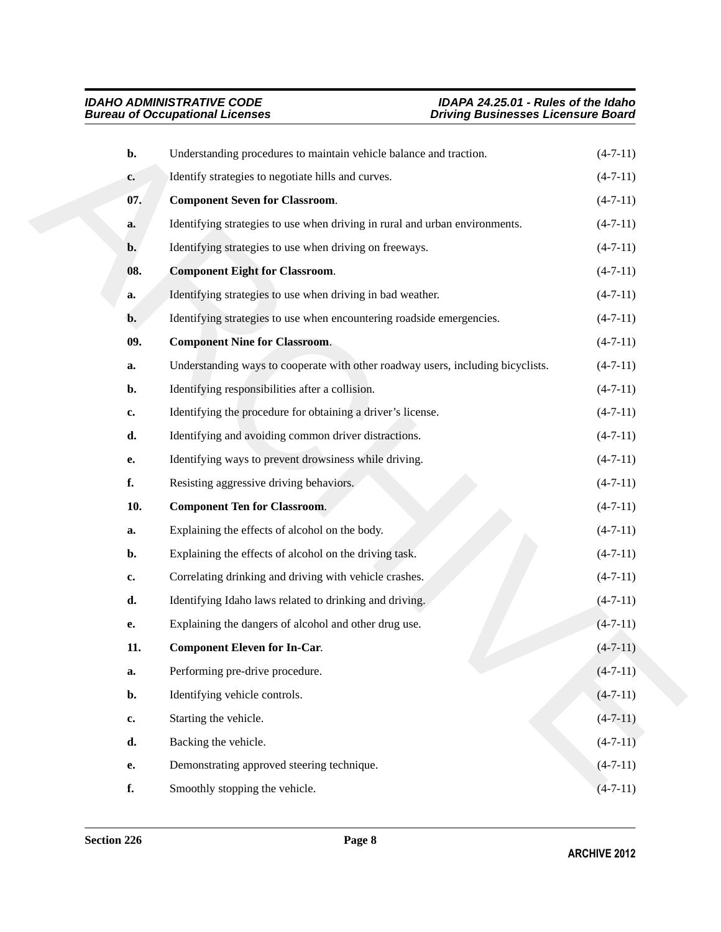<span id="page-7-4"></span><span id="page-7-3"></span><span id="page-7-2"></span><span id="page-7-1"></span><span id="page-7-0"></span>

| b.             | Understanding procedures to maintain vehicle balance and traction.              | $(4-7-11)$     |
|----------------|---------------------------------------------------------------------------------|----------------|
| c.             | Identify strategies to negotiate hills and curves.                              | $(4-7-11)$     |
| 07.            | <b>Component Seven for Classroom.</b>                                           | $(4-7-11)$     |
| a.             | Identifying strategies to use when driving in rural and urban environments.     | $(4-7-11)$     |
| $\mathbf{b}$ . | Identifying strategies to use when driving on freeways.                         | $(4-7-11)$     |
| 08.            | <b>Component Eight for Classroom.</b>                                           | $(4-7-11)$     |
| a.             | Identifying strategies to use when driving in bad weather.                      | $(4-7-11)$     |
| $\mathbf{b}$ . | Identifying strategies to use when encountering roadside emergencies.           | $(4-7-11)$     |
| 09.            | <b>Component Nine for Classroom.</b>                                            | $(4-7-11)$     |
| a.             | Understanding ways to cooperate with other roadway users, including bicyclists. | $(4-7-11)$     |
| b.             | Identifying responsibilities after a collision.                                 | $(4-7-11)$     |
| c.             | Identifying the procedure for obtaining a driver's license.                     | $(4-7-11)$     |
| d.             | Identifying and avoiding common driver distractions.                            | $(4-7-11)$     |
| е.             | Identifying ways to prevent drowsiness while driving.                           | $(4-7-11)$     |
| f.             | Resisting aggressive driving behaviors.                                         | $(4-7-11)$     |
| 10.            | <b>Component Ten for Classroom.</b>                                             | $(4-7-11)$     |
| a.             | Explaining the effects of alcohol on the body.                                  | $(4-7-11)$     |
| b.             | Explaining the effects of alcohol on the driving task.                          | $(4-7-11)$     |
| c.             | Correlating drinking and driving with vehicle crashes.                          | $(4-7-11)$     |
| d.             | Identifying Idaho laws related to drinking and driving.                         | $(4-7-11)$     |
| e.             | Explaining the dangers of alcohol and other drug use.                           | $(4 - 7 - 11)$ |
| 11.            | <b>Component Eleven for In-Car.</b>                                             | $(4 - 7 - 11)$ |
| a.             | Performing pre-drive procedure.                                                 | $(4-7-11)$     |
| b.             | Identifying vehicle controls.                                                   | $(4-7-11)$     |
| c.             | Starting the vehicle.                                                           | $(4-7-11)$     |
| d.             | Backing the vehicle.                                                            | $(4-7-11)$     |
| e.             | Demonstrating approved steering technique.                                      | $(4-7-11)$     |
| f.             | Smoothly stopping the vehicle.                                                  | $(4 - 7 - 11)$ |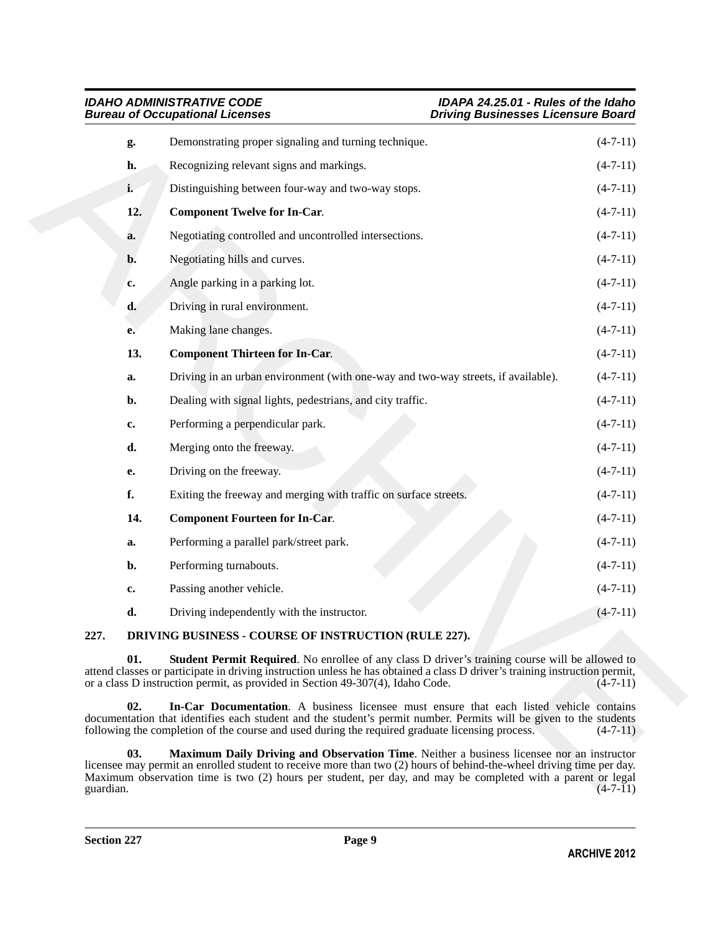<span id="page-8-7"></span><span id="page-8-6"></span>

|                 | <b>IDAHO ADMINISTRATIVE CODE</b><br><b>Bureau of Occupational Licenses</b><br><b>Driving Businesses Licensure Board</b>                                                                                                                                                                                                          | IDAPA 24.25.01 - Rules of the Idaho |
|-----------------|----------------------------------------------------------------------------------------------------------------------------------------------------------------------------------------------------------------------------------------------------------------------------------------------------------------------------------|-------------------------------------|
| g.              | Demonstrating proper signaling and turning technique.                                                                                                                                                                                                                                                                            | $(4-7-11)$                          |
| h.              | Recognizing relevant signs and markings.                                                                                                                                                                                                                                                                                         | $(4-7-11)$                          |
| i.              | Distinguishing between four-way and two-way stops.                                                                                                                                                                                                                                                                               | $(4-7-11)$                          |
| 12.             | <b>Component Twelve for In-Car.</b>                                                                                                                                                                                                                                                                                              | $(4-7-11)$                          |
| a.              | Negotiating controlled and uncontrolled intersections.                                                                                                                                                                                                                                                                           | $(4-7-11)$                          |
| b.              | Negotiating hills and curves.                                                                                                                                                                                                                                                                                                    | $(4-7-11)$                          |
| c.              | Angle parking in a parking lot.                                                                                                                                                                                                                                                                                                  | $(4-7-11)$                          |
| d.              | Driving in rural environment.                                                                                                                                                                                                                                                                                                    | $(4-7-11)$                          |
| e.              | Making lane changes.                                                                                                                                                                                                                                                                                                             | $(4-7-11)$                          |
| 13.             | <b>Component Thirteen for In-Car.</b>                                                                                                                                                                                                                                                                                            | $(4-7-11)$                          |
| a.              | Driving in an urban environment (with one-way and two-way streets, if available).                                                                                                                                                                                                                                                | $(4-7-11)$                          |
| b.              | Dealing with signal lights, pedestrians, and city traffic.                                                                                                                                                                                                                                                                       | $(4-7-11)$                          |
| c.              | Performing a perpendicular park.                                                                                                                                                                                                                                                                                                 | $(4-7-11)$                          |
| d.              | Merging onto the freeway.                                                                                                                                                                                                                                                                                                        | $(4-7-11)$                          |
| e.              | Driving on the freeway.                                                                                                                                                                                                                                                                                                          | $(4-7-11)$                          |
| f.              | Exiting the freeway and merging with traffic on surface streets.                                                                                                                                                                                                                                                                 | $(4-7-11)$                          |
| 14.             | <b>Component Fourteen for In-Car.</b>                                                                                                                                                                                                                                                                                            | $(4-7-11)$                          |
| a.              | Performing a parallel park/street park.                                                                                                                                                                                                                                                                                          | $(4-7-11)$                          |
| b.              | Performing turnabouts.                                                                                                                                                                                                                                                                                                           | $(4-7-11)$                          |
| c.              | Passing another vehicle.                                                                                                                                                                                                                                                                                                         | $(4-7-11)$                          |
| d.              | Driving independently with the instructor.                                                                                                                                                                                                                                                                                       | $(4-7-11)$                          |
| 227.            | DRIVING BUSINESS - COURSE OF INSTRUCTION (RULE 227).                                                                                                                                                                                                                                                                             |                                     |
| 01.             | <b>Student Permit Required.</b> No enrollee of any class D driver's training course will be allowed to<br>attend classes or participate in driving instruction unless he has obtained a class D driver's training instruction permit,<br>or a class D instruction permit, as provided in Section 49-307(4), Idaho Code.          | $(4-7-11)$                          |
| 02.             | In-Car Documentation. A business licensee must ensure that each listed vehicle contains<br>documentation that identifies each student and the student's permit number. Permits will be given to the students<br>following the completion of the course and used during the required graduate licensing process.                  | $(4-7-11)$                          |
| 03.<br>ouardian | Maximum Daily Driving and Observation Time. Neither a business licensee nor an instructor<br>licensee may permit an enrolled student to receive more than two (2) hours of behind-the-wheel driving time per day.<br>Maximum observation time is two (2) hours per student, per day, and may be completed with a parent or legal | $(4-7-11)$                          |

# <span id="page-8-5"></span><span id="page-8-4"></span><span id="page-8-1"></span><span id="page-8-0"></span>**227. DRIVING BUSINESS - COURSE OF INSTRUCTION (RULE 227).**

<span id="page-8-3"></span><span id="page-8-2"></span>**03. Maximum Daily Driving and Observation Time**. Neither a business licensee nor an instructor licensee may permit an enrolled student to receive more than two (2) hours of behind-the-wheel driving time per day. Maximum observation time is two (2) hours per student, per day, and may be completed with a parent or legal guardian.  $(4-7-11)$ guardian.  $(4-7-11)$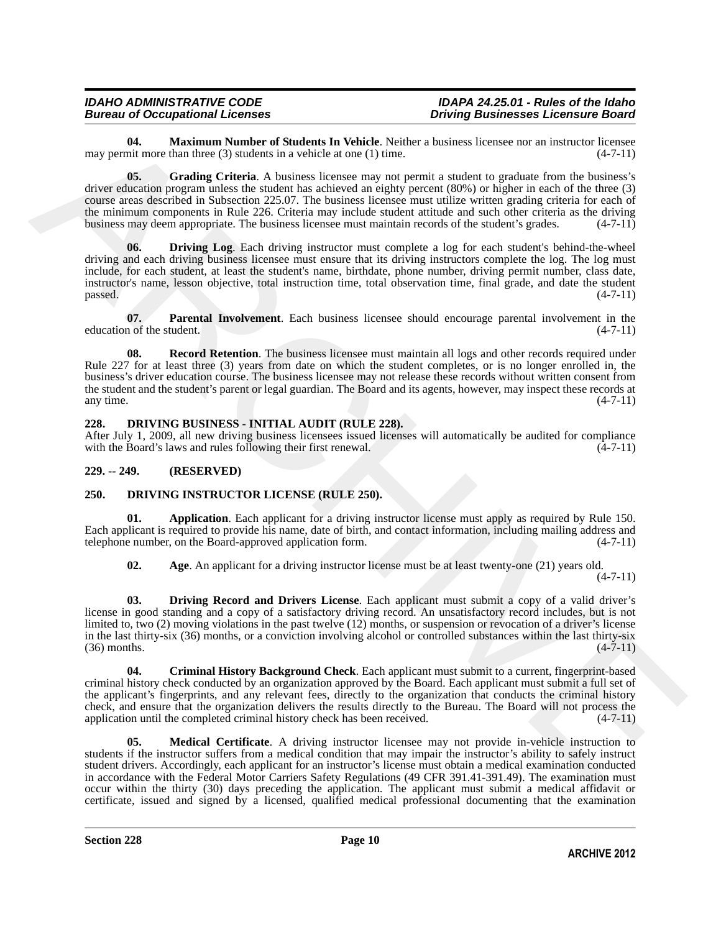<span id="page-9-5"></span>**04. Maximum Number of Students In Vehicle**. Neither a business licensee nor an instructor licensee nor an instructor licensee nor an instructor licensee  $(4-7-11)$ may permit more than three  $(3)$  students in a vehicle at one  $(1)$  time.

<span id="page-9-4"></span>**05.** Grading Criteria. A business licensee may not permit a student to graduate from the business's driver education program unless the student has achieved an eighty percent (80%) or higher in each of the three (3) course areas described in Subsection 225.07. The business licensee must utilize written grading criteria for each of the minimum components in Rule 226. Criteria may include student attitude and such other criteria as the driving business may deem appropriate. The business licensee must maintain records of the student's grades. (4-7-11)

<span id="page-9-3"></span>**Driving Log.** Each driving instructor must complete a log for each student's behind-the-wheel driving and each driving business licensee must ensure that its driving instructors complete the log. The log must include, for each student, at least the student's name, birthdate, phone number, driving permit number, class date, instructor's name, lesson objective, total instruction time, total observation time, final grade, and date the student  $p$ assed.  $(4-7-11)$ 

<span id="page-9-7"></span><span id="page-9-6"></span>**07. Parental Involvement**. Each business licensee should encourage parental involvement in the n of the student. (4-7-11) education of the student.

**The Mathema Womber of Statistics** Facture in the Nelson by the statistics we are inverse to the new of the Statistics (i.e., 711)<br> **The Mathema Mathema Mathema Mathema Mathema Mathema Mathema Mathema Mathema Mathema Math 08.** Record Retention. The business licensee must maintain all logs and other records required under Rule 227 for at least three (3) years from date on which the student completes, or is no longer enrolled in, the business's driver education course. The business licensee may not release these records without written consent from the student and the student's parent or legal guardian. The Board and its agents, however, may inspect these records at any time.  $(4-7-11)$ any time.  $(4-7-11)$ 

# <span id="page-9-8"></span><span id="page-9-0"></span>**228. DRIVING BUSINESS - INITIAL AUDIT (RULE 228).**

After July 1, 2009, all new driving business licensees issued licenses will automatically be audited for compliance with the Board's laws and rules following their first renewal. (4-7-11) with the Board's laws and rules following their first renewal.

# <span id="page-9-1"></span>**229. -- 249. (RESERVED)**

# <span id="page-9-9"></span><span id="page-9-2"></span>**250. DRIVING INSTRUCTOR LICENSE (RULE 250).**

**01. Application**. Each applicant for a driving instructor license must apply as required by Rule 150. Each applicant is required to provide his name, date of birth, and contact information, including mailing address and telephone number, on the Board-approved application form. (4-7-11) telephone number, on the Board-approved application form.

<span id="page-9-13"></span><span id="page-9-11"></span><span id="page-9-10"></span>**02.** Age. An applicant for a driving instructor license must be at least twenty-one (21) years old. (4-7-11)

**03. Driving Record and Drivers License**. Each applicant must submit a copy of a valid driver's license in good standing and a copy of a satisfactory driving record. An unsatisfactory record includes, but is not limited to, two (2) moving violations in the past twelve (12) months, or suspension or revocation of a driver's license in the last thirty-six (36) months, or a conviction involving alcohol or controlled substances within the last thirty-six (36) months. (4-7-11)  $(36)$  months.

<span id="page-9-12"></span>**04. Criminal History Background Check**. Each applicant must submit to a current, fingerprint-based criminal history check conducted by an organization approved by the Board. Each applicant must submit a full set of the applicant's fingerprints, and any relevant fees, directly to the organization that conducts the criminal history check, and ensure that the organization delivers the results directly to the Bureau. The Board will not process the application until the completed criminal history check has been received.

<span id="page-9-14"></span>**05. Medical Certificate**. A driving instructor licensee may not provide in-vehicle instruction to students if the instructor suffers from a medical condition that may impair the instructor's ability to safely instruct student drivers. Accordingly, each applicant for an instructor's license must obtain a medical examination conducted in accordance with the Federal Motor Carriers Safety Regulations (49 CFR 391.41-391.49). The examination must occur within the thirty (30) days preceding the application. The applicant must submit a medical affidavit or certificate, issued and signed by a licensed, qualified medical professional documenting that the examination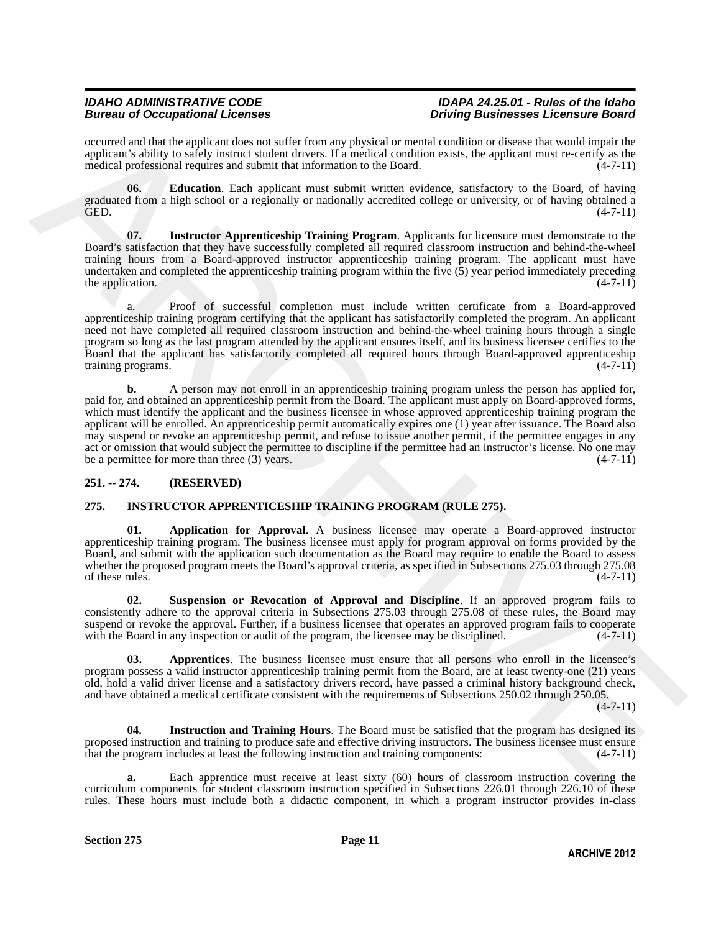# *IDAHO ADMINISTRATIVE CODE IDAPA 24.25.01 - Rules of the Idaho Driving Businesses Licensure Board*

occurred and that the applicant does not suffer from any physical or mental condition or disease that would impair the applicant's ability to safely instruct student drivers. If a medical condition exists, the applicant must re-certify as the medical professional requires and submit that information to the Board.  $(4-7-11)$ medical professional requires and submit that information to the Board.

<span id="page-10-2"></span>**06.** Education. Each applicant must submit written evidence, satisfactory to the Board, of having graduated from a high school or a regionally or nationally accredited college or university, or of having obtained a GED. (4-7-11)

<span id="page-10-3"></span>**07. Instructor Apprenticeship Training Program**. Applicants for licensure must demonstrate to the Board's satisfaction that they have successfully completed all required classroom instruction and behind-the-wheel training hours from a Board-approved instructor apprenticeship training program. The applicant must have undertaken and completed the apprenticeship training program within the five  $(5)$  year period immediately preceding the application. the application.

a. Proof of successful completion must include written certificate from a Board-approved apprenticeship training program certifying that the applicant has satisfactorily completed the program. An applicant need not have completed all required classroom instruction and behind-the-wheel training hours through a single program so long as the last program attended by the applicant ensures itself, and its business licensee certifies to the Board that the applicant has satisfactorily completed all required hours through Board-approved apprenticeship training programs.

occurrent and the theoretical relation for uniform the priorite of the format and the basis when we also the control investigation of the control interaction of the control interaction of the control interaction of the co **b.** A person may not enroll in an apprenticeship training program unless the person has applied for, paid for, and obtained an apprenticeship permit from the Board. The applicant must apply on Board-approved forms, which must identify the applicant and the business licensee in whose approved apprenticeship training program the applicant will be enrolled. An apprenticeship permit automatically expires one (1) year after issuance. The Board also may suspend or revoke an apprenticeship permit, and refuse to issue another permit, if the permittee engages in any act or omission that would subject the permittee to discipline if the permittee had an instructor's license. No one may<br>be a permittee for more than three (3) years. (4-7-11) be a permittee for more than three  $(3)$  years.

# <span id="page-10-0"></span>**251. -- 274. (RESERVED)**

# <span id="page-10-4"></span><span id="page-10-1"></span>**275. INSTRUCTOR APPRENTICESHIP TRAINING PROGRAM (RULE 275).**

<span id="page-10-5"></span>**01. Application for Approval**. A business licensee may operate a Board-approved instructor apprenticeship training program. The business licensee must apply for program approval on forms provided by the Board, and submit with the application such documentation as the Board may require to enable the Board to assess whether the proposed program meets the Board's approval criteria, as specified in Subsections 275.03 through 275.08 of these rules. (4-7-11) of these rules.  $(4-7-11)$ 

<span id="page-10-8"></span>**02. Suspension or Revocation of Approval and Discipline**. If an approved program fails to consistently adhere to the approval criteria in Subsections 275.03 through 275.08 of these rules, the Board may suspend or revoke the approval. Further, if a business licensee that operates an approved program fails to cooperate with the Board in any inspection or audit of the program, the licensee may be disciplined. (4-7-11)

<span id="page-10-6"></span>**03. Apprentices**. The business licensee must ensure that all persons who enroll in the licensee's program possess a valid instructor apprenticeship training permit from the Board, are at least twenty-one (21) years old, hold a valid driver license and a satisfactory drivers record, have passed a criminal history background check, and have obtained a medical certificate consistent with the requirements of Subsections 250.02 through 250.05.

 $(4 - 7 - 11)$ 

<span id="page-10-7"></span>**04. Instruction and Training Hours**. The Board must be satisfied that the program has designed its proposed instruction and training to produce safe and effective driving instructors. The business licensee must ensure that the program includes at least the following instruction and training components: (4-7-11) that the program includes at least the following instruction and training components:

**a.** Each apprentice must receive at least sixty (60) hours of classroom instruction covering the curriculum components for student classroom instruction specified in Subsections 226.01 through 226.10 of these rules. These hours must include both a didactic component, in which a program instructor provides in-class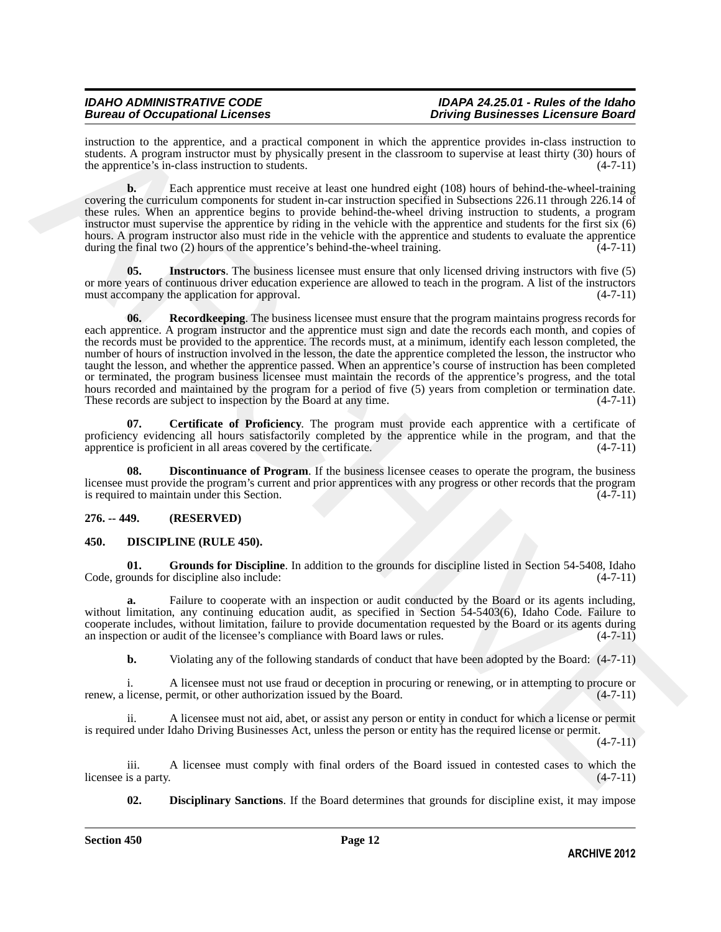instruction to the apprentice, and a practical component in which the apprentice provides in-class instruction to students. A program instructor must by physically present in the classroom to supervise at least thirty (30) hours of the apprentice's in-class instruction to students. (4-7-11) the apprentice's in-class instruction to students.

**b.** Each apprentice must receive at least one hundred eight (108) hours of behind-the-wheel-training covering the curriculum components for student in-car instruction specified in Subsections 226.11 through 226.14 of these rules. When an apprentice begins to provide behind-the-wheel driving instruction to students, a program instructor must supervise the apprentice by riding in the vehicle with the apprentice and students for the first six (6) hours. A program instructor also must ride in the vehicle with the apprentice and students to evaluate the apprentice during the final two  $(2)$  hours of the apprentice's behind-the-wheel training.  $(4-7-11)$ 

<span id="page-11-8"></span><span id="page-11-7"></span>**05. Instructors**. The business licensee must ensure that only licensed driving instructors with five (5) or more years of continuous driver education experience are allowed to teach in the program. A list of the instructors must accompany the application for approval. (4-7-11) must accompany the application for approval.

Structure is the approach and a proposition, and a consistent probable and probable in the singer<br>structure in the approximation of the activity process in the discovered probable and<br>structure of the singer structure of **06. Recordkeeping**. The business licensee must ensure that the program maintains progress records for each apprentice. A program instructor and the apprentice must sign and date the records each month, and copies of the records must be provided to the apprentice. The records must, at a minimum, identify each lesson completed, the number of hours of instruction involved in the lesson, the date the apprentice completed the lesson, the instructor who taught the lesson, and whether the apprentice passed. When an apprentice's course of instruction has been completed or terminated, the program business licensee must maintain the records of the apprentice's progress, and the total hours recorded and maintained by the program for a period of five (5) years from completion or termination date.<br>These records are subject to inspection by the Board at any time. (4-7-11) These records are subject to inspection by the Board at any time.

<span id="page-11-5"></span>**07. Certificate of Proficiency**. The program must provide each apprentice with a certificate of proficiency evidencing all hours satisfactorily completed by the apprentice while in the program, and that the apprentice is proficient in all areas covered by the certificate.  $(4-7-11)$ apprentice is proficient in all areas covered by the certificate.

<span id="page-11-6"></span>**Discontinuance of Program**. If the business licensee ceases to operate the program, the business licensee must provide the program's current and prior apprentices with any progress or other records that the program<br>is required to maintain under this Section. is required to maintain under this Section.

# <span id="page-11-0"></span>**276. -- 449. (RESERVED)**

# <span id="page-11-2"></span><span id="page-11-1"></span>**450. DISCIPLINE (RULE 450).**

<span id="page-11-4"></span>**01.** Grounds for Discipline. In addition to the grounds for discipline listed in Section 54-5408, Idaho ounds for discipline also include:  $(4-7-11)$ Code, grounds for discipline also include:

**a.** Failure to cooperate with an inspection or audit conducted by the Board or its agents including, without limitation, any continuing education audit, as specified in Section 54-5403(6), Idaho Code. Failure to cooperate includes, without limitation, failure to provide documentation requested by the Board or its agents during an inspection or audit of the licensee's compliance with Board laws or rules. (4-7-11)

**b.** Violating any of the following standards of conduct that have been adopted by the Board:  $(4-7-11)$ 

i. A licensee must not use fraud or deception in procuring or renewing, or in attempting to procure or renew, a license, permit, or other authorization issued by the Board. (4-7-11)

ii. A licensee must not aid, abet, or assist any person or entity in conduct for which a license or permit is required under Idaho Driving Businesses Act, unless the person or entity has the required license or permit.

 $(4 - 7 - 11)$ 

iii. A licensee must comply with final orders of the Board issued in contested cases to which the is a party. (4-7-11) licensee is a party.

<span id="page-11-3"></span>**02. Disciplinary Sanctions**. If the Board determines that grounds for discipline exist, it may impose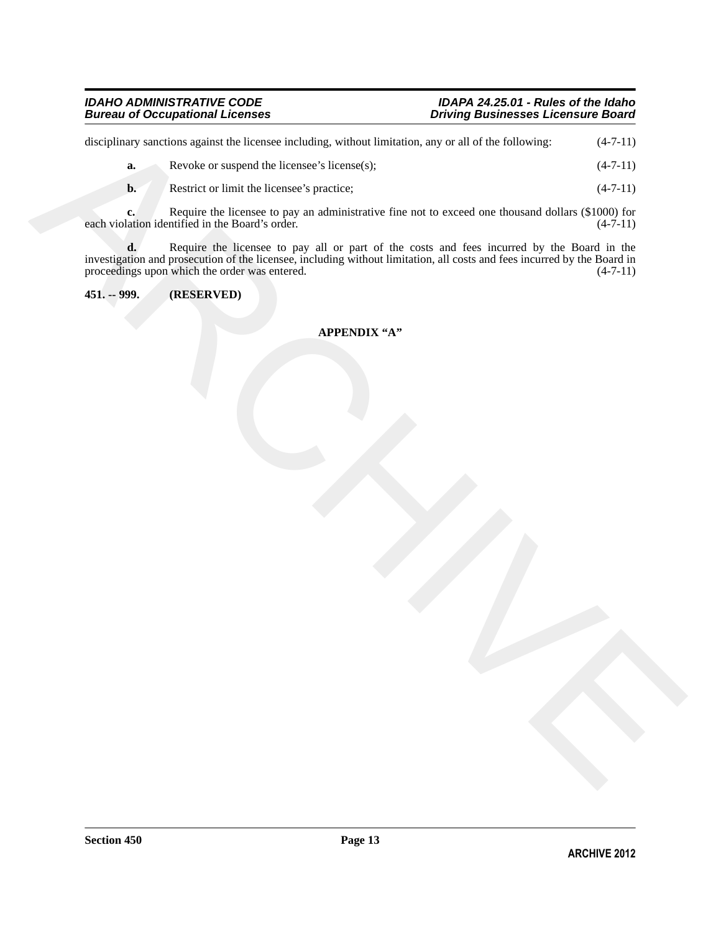<span id="page-12-0"></span>

|               | disciplinary sanctions against the licensee including, without limitation, any or all of the following:                                                                                                                                                                        | $(4-7-11)$ |
|---------------|--------------------------------------------------------------------------------------------------------------------------------------------------------------------------------------------------------------------------------------------------------------------------------|------------|
| a.            | Revoke or suspend the licensee's license(s);                                                                                                                                                                                                                                   | $(4-7-11)$ |
| b.            | Restrict or limit the licensee's practice;                                                                                                                                                                                                                                     | $(4-7-11)$ |
| c.            | Require the licensee to pay an administrative fine not to exceed one thousand dollars (\$1000) for<br>each violation identified in the Board's order.                                                                                                                          | $(4-7-11)$ |
|               | <b>d.</b> Require the licensee to pay all or part of the costs and fees incurred by the Board in the investigation and prosecution of the licensee, including without limitation, all costs and fees incurred by the Board in<br>proceedings upon which the order was entered. | $(4-7-11)$ |
| $451. - 999.$ | (RESERVED)                                                                                                                                                                                                                                                                     |            |
|               |                                                                                                                                                                                                                                                                                |            |
|               | <b>APPENDIX "A"</b>                                                                                                                                                                                                                                                            |            |

# **APPENDIX "A"**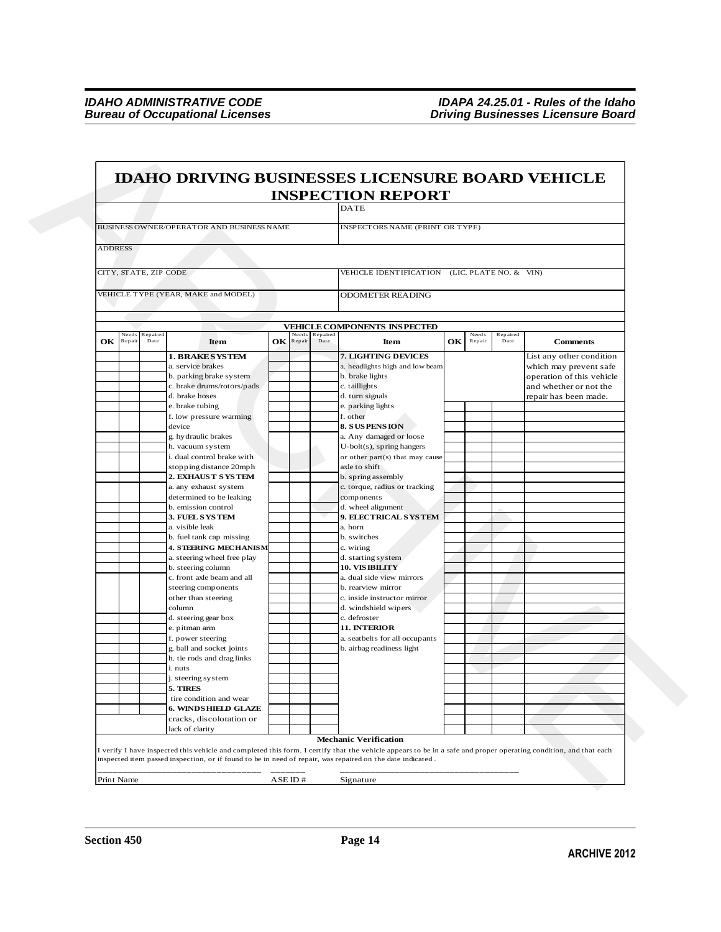|                |        |                        |                                                |     |        |                        | <b>INSPECTION REPORT</b>                                    |    |                 |                  |                                                    |
|----------------|--------|------------------------|------------------------------------------------|-----|--------|------------------------|-------------------------------------------------------------|----|-----------------|------------------|----------------------------------------------------|
|                |        |                        |                                                |     |        |                        | <b>DATE</b>                                                 |    |                 |                  |                                                    |
|                |        |                        | BUSINESS OWNER/OPERATOR AND BUSINESS NAME      |     |        |                        | INSPECTORS NAME (PRINT OR TYPE)                             |    |                 |                  |                                                    |
|                |        |                        |                                                |     |        |                        |                                                             |    |                 |                  |                                                    |
| <b>ADDRESS</b> |        |                        |                                                |     |        |                        |                                                             |    |                 |                  |                                                    |
|                |        | CITY, STATE, ZIP CODE  |                                                |     |        |                        | VEHICLE IDENTIFICATION (LIC. PLATE NO. & VIN)               |    |                 |                  |                                                    |
|                |        |                        |                                                |     |        |                        |                                                             |    |                 |                  |                                                    |
|                |        |                        | VEHICLE TYPE (YEAR, MAKE and MODEL)            |     |        |                        | <b>ODOMETER READING</b>                                     |    |                 |                  |                                                    |
|                |        |                        |                                                |     |        |                        |                                                             |    |                 |                  |                                                    |
|                |        |                        |                                                |     |        |                        | VEHICLE COMPONENTS INSPECTED                                |    |                 |                  |                                                    |
| OК             | Repair | Needs Repaired<br>Date | <b>Item</b>                                    | OK. | Repair | Needs Repaired<br>Date | Item                                                        | OK | Needs<br>Repair | Repaired<br>Date | <b>Comments</b>                                    |
|                |        |                        |                                                |     |        |                        |                                                             |    |                 |                  |                                                    |
|                |        |                        | <b>1. BRAKE SYSTEM</b><br>a. service brakes    |     |        |                        | 7. LIGHTING DEVICES<br>a. headlights high and low beam      |    |                 |                  | List any other condition<br>which may prevent safe |
|                |        |                        | b. parking brake system                        |     |        |                        | b. brake lights                                             |    |                 |                  | operation of this vehicle                          |
|                |        |                        | c. brake drums/rotors/pads                     |     |        |                        | c. taillights                                               |    |                 |                  | and whether or not the                             |
|                |        |                        | d. brake hoses                                 |     |        |                        | d. turn signals                                             |    |                 |                  | repair has been made.                              |
|                |        |                        | e. brake tubing                                |     |        |                        | e. parking lights                                           |    |                 |                  |                                                    |
|                |        |                        | f. low pressure warming<br>device              |     |        |                        | f. other<br>8. SUSPENSION                                   |    |                 |                  |                                                    |
|                |        |                        | g. hy draulic brakes                           |     |        |                        | a. Any damaged or loose                                     |    |                 |                  |                                                    |
|                |        |                        | h. vacuum system                               |     |        |                        | $U$ -bolt $(s)$ , spring hangers                            |    |                 |                  |                                                    |
|                |        |                        | i. dual control brake with                     |     |        |                        | or other part(s) that may cause                             |    |                 |                  |                                                    |
|                |        |                        | stopping distance 20mph                        |     |        |                        | axle to shift                                               |    |                 |                  |                                                    |
|                |        |                        | 2. EXHAUS T S YS TEM<br>a. any exhaust system  |     |        |                        | b. spring assembly<br>c. torque, radius or tracking         |    |                 |                  |                                                    |
|                |        |                        | determined to be leaking                       |     |        |                        | components                                                  |    |                 |                  |                                                    |
|                |        |                        | b. emission control                            |     |        |                        | d. wheel alignment                                          |    |                 |                  |                                                    |
|                |        |                        | 3. FUEL SYSTEM                                 |     |        |                        | 9. ELECTRICAL SYSTEM                                        |    |                 |                  |                                                    |
|                |        |                        | a. visible leak<br>b. fuel tank cap missing    |     |        |                        | a. horn<br>b. switches                                      |    |                 |                  |                                                    |
|                |        |                        | <b>4. STEERING MECHANISM</b>                   |     |        |                        | c. wiring                                                   |    |                 |                  |                                                    |
|                |        |                        | a. steering wheel free play                    |     |        |                        | d. starting system                                          |    |                 |                  |                                                    |
|                |        |                        | b. steering column                             |     |        |                        | <b>10. VIS IBILITY</b>                                      |    |                 |                  |                                                    |
|                |        |                        | c. front axle beam and all                     |     |        |                        | a. dual side view mirrors                                   |    |                 |                  |                                                    |
|                |        |                        | steering components<br>other than steering     |     |        |                        | b. rearview mirror<br>c. inside instructor mirror           |    |                 |                  |                                                    |
|                |        |                        | column                                         |     |        |                        | d. windshield wipers                                        |    |                 |                  |                                                    |
|                |        |                        | d. steering gear box                           |     |        |                        | c. defroster                                                |    |                 |                  |                                                    |
|                |        |                        | e. pitman arm                                  |     |        |                        | 11. INTERIOR                                                |    |                 |                  |                                                    |
|                |        |                        | f. power steering<br>g. ball and socket joints |     |        |                        | a. seatbelts for all occupants<br>b. airbag readiness light |    |                 |                  |                                                    |
|                |        |                        | h. tie rods and drag links                     |     |        |                        |                                                             |    |                 |                  |                                                    |
|                |        |                        | i. nuts                                        |     |        |                        |                                                             |    |                 |                  |                                                    |
|                |        |                        | j. steering system                             |     |        |                        |                                                             |    |                 |                  |                                                    |
|                |        |                        | 5. TIRES<br>tire condition and wear            |     |        |                        |                                                             |    |                 |                  |                                                    |
|                |        |                        | <b>6. WINDS HIELD GLAZE</b>                    |     |        |                        |                                                             |    |                 |                  |                                                    |
|                |        |                        | cracks, discoloration or                       |     |        |                        |                                                             |    |                 |                  |                                                    |
|                |        |                        | lack of clarity                                |     |        |                        |                                                             |    |                 |                  |                                                    |